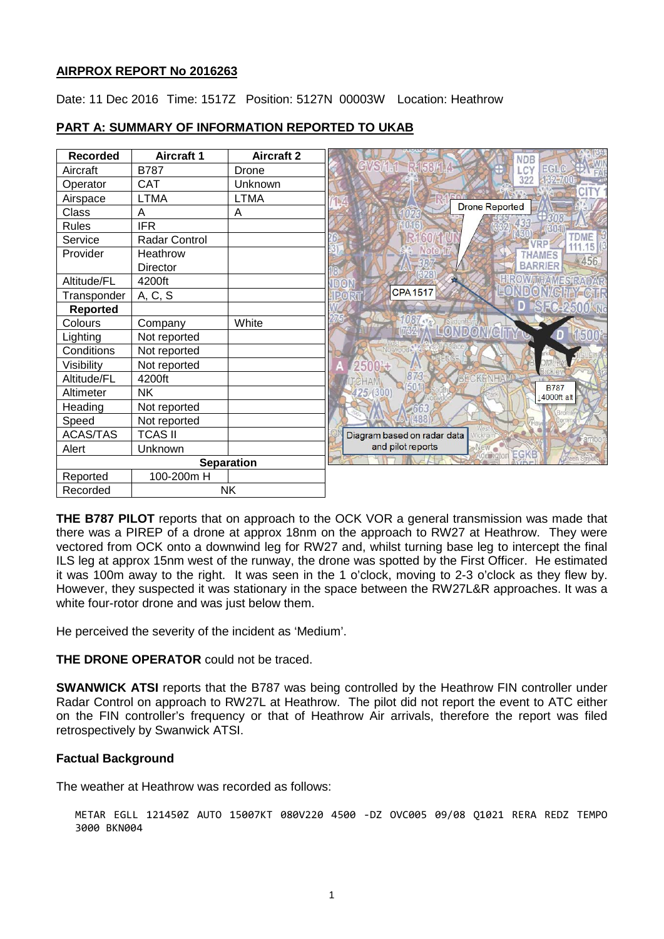### **AIRPROX REPORT No 2016263**

Date: 11 Dec 2016 Time: 1517Z Position: 5127N 00003W Location: Heathrow

| <b>Recorded</b>   | <b>Aircraft 1</b> | <b>Aircraft 2</b> | <b>NDB</b>                                      |
|-------------------|-------------------|-------------------|-------------------------------------------------|
| Aircraft          | <b>B787</b>       | Drone             | GVSA1 R153A4<br><b>EGLC</b><br>LCY              |
| Operator          | <b>CAT</b>        | Unknown           | 322                                             |
| Airspace          | <b>LTMA</b>       | <b>LTMA</b>       |                                                 |
| Class             | A                 | Α                 | <b>Drone Reported</b>                           |
| <b>Rules</b>      | <b>IFR</b>        |                   |                                                 |
| Service           | Radar Control     |                   | <b>TDME</b><br>16                               |
| Provider          | Heathrow          |                   | THAMES<br>456<br><b>BARRIER</b>                 |
|                   | Director          |                   |                                                 |
| Altitude/FL       | 4200ft            |                   | OW THAM SRADAR<br>DON<br><b>DON/GRAY CIR</b>    |
| Transponder       | A, C, S           |                   | <b>CPA1517</b><br>PORT                          |
| <b>Reported</b>   |                   |                   | 876-2500<br>No                                  |
| Colours           | Company           | White             | 1087.<br><b>1037 Second MCTTY &amp;</b>         |
| Lighting          | Not reported      |                   | Æ                                               |
| Conditions        | Not reported      |                   |                                                 |
| Visibility        | Not reported      |                   | $2500\pm$                                       |
| Altitude/FL       | 4200ft            |                   | 873<br><b>ECKENHA</b><br><b>TCHAM</b>           |
| Altimeter         | <b>NK</b>         |                   | <b>B787</b><br>425/(300)<br>14000ft alt         |
| Heading           | Not reported      |                   |                                                 |
| Speed             | Not reported      |                   |                                                 |
| <b>ACAS/TAS</b>   | <b>TCAS II</b>    |                   | Diagram based on radar data                     |
| Alert             | Unknown           |                   | and pilot reports<br>New .<br>EGKB<br>Addinator |
| <b>Separation</b> |                   |                   |                                                 |
| Reported          | 100-200m H        |                   |                                                 |
| Recorded          | <b>NK</b>         |                   |                                                 |

## **PART A: SUMMARY OF INFORMATION REPORTED TO UKAB**

**THE B787 PILOT** reports that on approach to the OCK VOR a general transmission was made that there was a PIREP of a drone at approx 18nm on the approach to RW27 at Heathrow. They were vectored from OCK onto a downwind leg for RW27 and, whilst turning base leg to intercept the final ILS leg at approx 15nm west of the runway, the drone was spotted by the First Officer. He estimated it was 100m away to the right. It was seen in the 1 o'clock, moving to 2-3 o'clock as they flew by. However, they suspected it was stationary in the space between the RW27L&R approaches. It was a white four-rotor drone and was just below them.

He perceived the severity of the incident as 'Medium'.

## **THE DRONE OPERATOR** could not be traced.

**SWANWICK ATSI** reports that the B787 was being controlled by the Heathrow FIN controller under Radar Control on approach to RW27L at Heathrow. The pilot did not report the event to ATC either on the FIN controller's frequency or that of Heathrow Air arrivals, therefore the report was filed retrospectively by Swanwick ATSI.

## **Factual Background**

The weather at Heathrow was recorded as follows:

METAR EGLL 121450Z AUTO 15007KT 080V220 4500 -DZ OVC005 09/08 Q1021 RERA REDZ TEMPO 3000 BKN004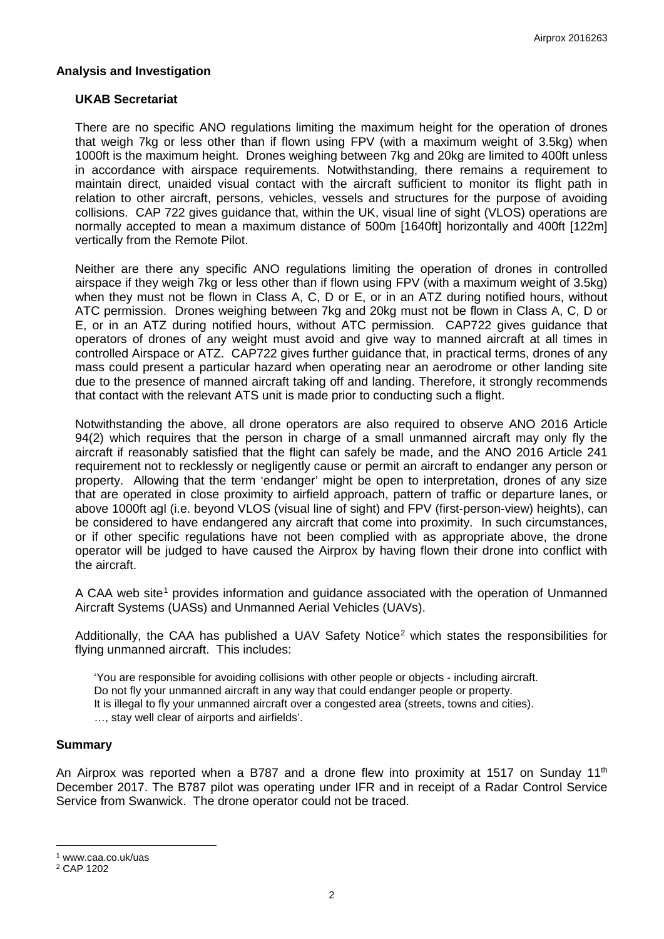### **Analysis and Investigation**

#### **UKAB Secretariat**

There are no specific ANO regulations limiting the maximum height for the operation of drones that weigh 7kg or less other than if flown using FPV (with a maximum weight of 3.5kg) when 1000ft is the maximum height. Drones weighing between 7kg and 20kg are limited to 400ft unless in accordance with airspace requirements. Notwithstanding, there remains a requirement to maintain direct, unaided visual contact with the aircraft sufficient to monitor its flight path in relation to other aircraft, persons, vehicles, vessels and structures for the purpose of avoiding collisions. CAP 722 gives guidance that, within the UK, visual line of sight (VLOS) operations are normally accepted to mean a maximum distance of 500m [1640ft] horizontally and 400ft [122m] vertically from the Remote Pilot.

Neither are there any specific ANO regulations limiting the operation of drones in controlled airspace if they weigh 7kg or less other than if flown using FPV (with a maximum weight of 3.5kg) when they must not be flown in Class A, C, D or E, or in an ATZ during notified hours, without ATC permission. Drones weighing between 7kg and 20kg must not be flown in Class A, C, D or E, or in an ATZ during notified hours, without ATC permission. CAP722 gives guidance that operators of drones of any weight must avoid and give way to manned aircraft at all times in controlled Airspace or ATZ. CAP722 gives further guidance that, in practical terms, drones of any mass could present a particular hazard when operating near an aerodrome or other landing site due to the presence of manned aircraft taking off and landing. Therefore, it strongly recommends that contact with the relevant ATS unit is made prior to conducting such a flight.

Notwithstanding the above, all drone operators are also required to observe ANO 2016 Article 94(2) which requires that the person in charge of a small unmanned aircraft may only fly the aircraft if reasonably satisfied that the flight can safely be made, and the ANO 2016 Article 241 requirement not to recklessly or negligently cause or permit an aircraft to endanger any person or property. Allowing that the term 'endanger' might be open to interpretation, drones of any size that are operated in close proximity to airfield approach, pattern of traffic or departure lanes, or above 1000ft agl (i.e. beyond VLOS (visual line of sight) and FPV (first-person-view) heights), can be considered to have endangered any aircraft that come into proximity. In such circumstances, or if other specific regulations have not been complied with as appropriate above, the drone operator will be judged to have caused the Airprox by having flown their drone into conflict with the aircraft.

A CAA web site<sup>[1](#page-1-0)</sup> provides information and guidance associated with the operation of Unmanned Aircraft Systems (UASs) and Unmanned Aerial Vehicles (UAVs).

Additionally, the CAA has published a UAV Safety Notice<sup>[2](#page-1-1)</sup> which states the responsibilities for flying unmanned aircraft. This includes:

'You are responsible for avoiding collisions with other people or objects - including aircraft.

Do not fly your unmanned aircraft in any way that could endanger people or property.

It is illegal to fly your unmanned aircraft over a congested area (streets, towns and cities).

…, stay well clear of airports and airfields'.

#### **Summary**

An Airprox was reported when a B787 and a drone flew into proximity at 1517 on Sunday 11<sup>th</sup> December 2017. The B787 pilot was operating under IFR and in receipt of a Radar Control Service Service from Swanwick. The drone operator could not be traced.

l

<span id="page-1-0"></span><sup>1</sup> www.caa.co.uk/uas

<span id="page-1-1"></span><sup>2</sup> CAP 1202